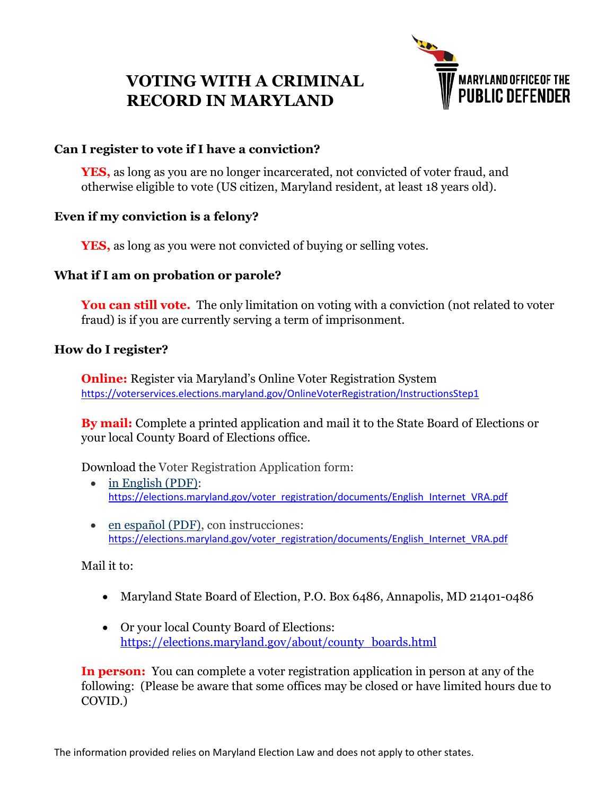# **VOTING WITH A CRIMINAL RECORD IN MARYLAND**



## **Can I register to vote if I have a conviction?**

**YES,** as long as you are no longer incarcerated, not convicted of voter fraud, and otherwise eligible to vote (US citizen, Maryland resident, at least 18 years old).

### **Even if my conviction is a felony?**

**YES,** as long as you were not convicted of buying or selling votes.

## **What if I am on probation or parole?**

**You can still vote.** The only limitation on voting with a conviction (not related to voter fraud) is if you are currently serving a term of imprisonment.

### **How do I register?**

**Online:** Register via Maryland's [Online Voter Registration System](https://voterservices.elections.maryland.gov/OnlineVoterRegistration/InstructionsStep1) <https://voterservices.elections.maryland.gov/OnlineVoterRegistration/InstructionsStep1>

**By mail:** Complete a printed application and mail it to the State Board of Elections or your local County Board of Elections office.

Download the Voter Registration Application form:

- [in English \(PDF\):](https://elections.maryland.gov/voter_registration/documents/English_Internet_VRA.pdf) [https://elections.maryland.gov/voter\\_registration/documents/English\\_Internet\\_VRA.pdf](https://elections.maryland.gov/voter_registration/documents/English_Internet_VRA.pdf)
- [en español \(PDF\),](https://elections.maryland.gov/voter_registration/documents/Spanish_Internet_VRA.pdf) con instrucciones: [https://elections.maryland.gov/voter\\_registration/documents/English\\_Internet\\_VRA.pdf](https://elections.maryland.gov/voter_registration/documents/English_Internet_VRA.pdf)

Mail it to:

- Maryland State Board of Election, P.O. Box 6486, Annapolis, MD 21401-0486
- Or your local County Board of Elections: [https://elections.maryland.gov/about/county\\_boards.html](https://elections.maryland.gov/about/county_boards.html)

**In person:** You can complete a voter registration application in person at any of the following: (Please be aware that some offices may be closed or have limited hours due to COVID.)